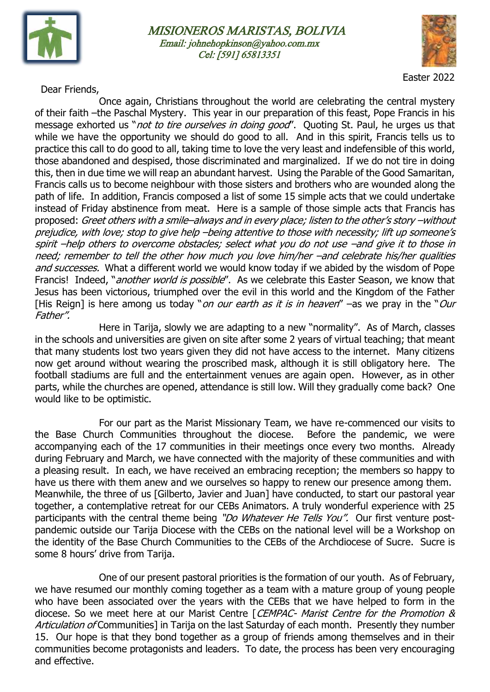





Easter 2022

Dear Friends,

Once again, Christians throughout the world are celebrating the central mystery of their faith –the Paschal Mystery. This year in our preparation of this feast, Pope Francis in his message exhorted us "*not to tire ourselves in doing good*". Quoting St. Paul, he urges us that while we have the opportunity we should do good to all. And in this spirit, Francis tells us to practice this call to do good to all, taking time to love the very least and indefensible of this world, those abandoned and despised, those discriminated and marginalized. If we do not tire in doing this, then in due time we will reap an abundant harvest. Using the Parable of the Good Samaritan, Francis calls us to become neighbour with those sisters and brothers who are wounded along the path of life. In addition, Francis composed a list of some 15 simple acts that we could undertake instead of Friday abstinence from meat. Here is a sample of those simple acts that Francis has proposed: Greet others with a smile–always and in every place; listen to the other's story –without prejudice, with love; stop to give help –being attentive to those with necessity; lift up someone's spirit –help others to overcome obstacles; select what you do not use –and give it to those in need; remember to tell the other how much you love him/her –and celebrate his/her qualities and successes. What a different world we would know today if we abided by the wisdom of Pope Francis! Indeed, "*another world is possible*". As we celebrate this Easter Season, we know that Jesus has been victorious, triumphed over the evil in this world and the Kingdom of the Father [His Reign] is here among us today "*on our earth as it is in heaven"* –as we pray in the "*Our* Father".

Here in Tarija, slowly we are adapting to a new "normality". As of March, classes in the schools and universities are given on site after some 2 years of virtual teaching; that meant that many students lost two years given they did not have access to the internet. Many citizens now get around without wearing the proscribed mask, although it is still obligatory here. The football stadiums are full and the entertainment venues are again open. However, as in other parts, while the churches are opened, attendance is still low. Will they gradually come back? One would like to be optimistic.

For our part as the Marist Missionary Team, we have re-commenced our visits to the Base Church Communities throughout the diocese. Before the pandemic, we were accompanying each of the 17 communities in their meetings once every two months. Already during February and March, we have connected with the majority of these communities and with a pleasing result. In each, we have received an embracing reception; the members so happy to have us there with them anew and we ourselves so happy to renew our presence among them. Meanwhile, the three of us [Gilberto, Javier and Juan] have conducted, to start our pastoral year together, a contemplative retreat for our CEBs Animators. A truly wonderful experience with 25 participants with the central theme being "Do Whatever He Tells You". Our first venture postpandemic outside our Tarija Diocese with the CEBs on the national level will be a Workshop on the identity of the Base Church Communities to the CEBs of the Archdiocese of Sucre. Sucre is some 8 hours' drive from Tarija.

 One of our present pastoral priorities is the formation of our youth. As of February, we have resumed our monthly coming together as a team with a mature group of young people who have been associated over the years with the CEBs that we have helped to form in the diocese. So we meet here at our Marist Centre [CEMPAC- Marist Centre for the Promotion & Articulation of Communities] in Tarija on the last Saturday of each month. Presently they number 15. Our hope is that they bond together as a group of friends among themselves and in their communities become protagonists and leaders. To date, the process has been very encouraging and effective.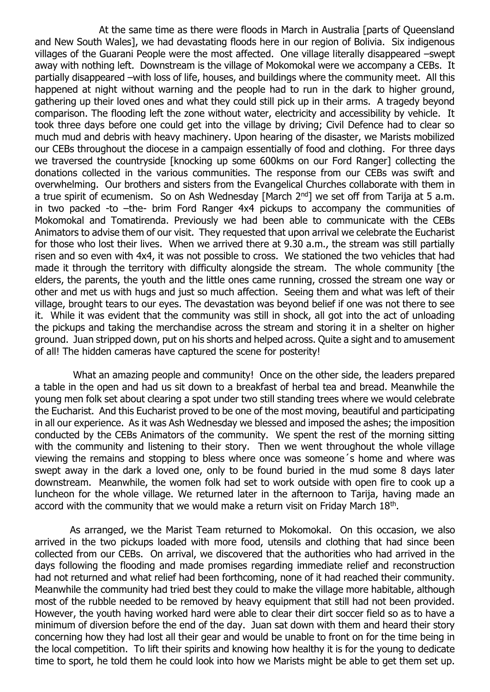At the same time as there were floods in March in Australia [parts of Queensland and New South Wales], we had devastating floods here in our region of Bolivia. Six indigenous villages of the Guarani People were the most affected. One village literally disappeared –swept away with nothing left. Downstream is the village of Mokomokal were we accompany a CEBs. It partially disappeared –with loss of life, houses, and buildings where the community meet. All this happened at night without warning and the people had to run in the dark to higher ground, gathering up their loved ones and what they could still pick up in their arms. A tragedy beyond comparison. The flooding left the zone without water, electricity and accessibility by vehicle. It took three days before one could get into the village by driving; Civil Defence had to clear so much mud and debris with heavy machinery. Upon hearing of the disaster, we Marists mobilized our CEBs throughout the diocese in a campaign essentially of food and clothing. For three days we traversed the countryside [knocking up some 600kms on our Ford Ranger] collecting the donations collected in the various communities. The response from our CEBs was swift and overwhelming. Our brothers and sisters from the Evangelical Churches collaborate with them in a true spirit of ecumenism. So on Ash Wednesday [March  $2<sup>nd</sup>$ ] we set off from Tarija at 5 a.m. in two packed -to –the- brim Ford Ranger 4x4 pickups to accompany the communities of Mokomokal and Tomatirenda. Previously we had been able to communicate with the CEBs Animators to advise them of our visit. They requested that upon arrival we celebrate the Eucharist for those who lost their lives. When we arrived there at 9.30 a.m., the stream was still partially risen and so even with 4x4, it was not possible to cross. We stationed the two vehicles that had made it through the territory with difficulty alongside the stream. The whole community [the elders, the parents, the youth and the little ones came running, crossed the stream one way or other and met us with hugs and just so much affection. Seeing them and what was left of their village, brought tears to our eyes. The devastation was beyond belief if one was not there to see it. While it was evident that the community was still in shock, all got into the act of unloading the pickups and taking the merchandise across the stream and storing it in a shelter on higher ground. Juan stripped down, put on his shorts and helped across. Quite a sight and to amusement of all! The hidden cameras have captured the scene for posterity!

What an amazing people and community! Once on the other side, the leaders prepared a table in the open and had us sit down to a breakfast of herbal tea and bread. Meanwhile the young men folk set about clearing a spot under two still standing trees where we would celebrate the Eucharist. And this Eucharist proved to be one of the most moving, beautiful and participating in all our experience. As it was Ash Wednesday we blessed and imposed the ashes; the imposition conducted by the CEBs Animators of the community. We spent the rest of the morning sitting with the community and listening to their story. Then we went throughout the whole village viewing the remains and stopping to bless where once was someone´s home and where was swept away in the dark a loved one, only to be found buried in the mud some 8 days later downstream. Meanwhile, the women folk had set to work outside with open fire to cook up a luncheon for the whole village. We returned later in the afternoon to Tarija, having made an accord with the community that we would make a return visit on Friday March 18<sup>th</sup>.

As arranged, we the Marist Team returned to Mokomokal. On this occasion, we also arrived in the two pickups loaded with more food, utensils and clothing that had since been collected from our CEBs. On arrival, we discovered that the authorities who had arrived in the days following the flooding and made promises regarding immediate relief and reconstruction had not returned and what relief had been forthcoming, none of it had reached their community. Meanwhile the community had tried best they could to make the village more habitable, although most of the rubble needed to be removed by heavy equipment that still had not been provided. However, the youth having worked hard were able to clear their dirt soccer field so as to have a minimum of diversion before the end of the day. Juan sat down with them and heard their story concerning how they had lost all their gear and would be unable to front on for the time being in the local competition. To lift their spirits and knowing how healthy it is for the young to dedicate time to sport, he told them he could look into how we Marists might be able to get them set up.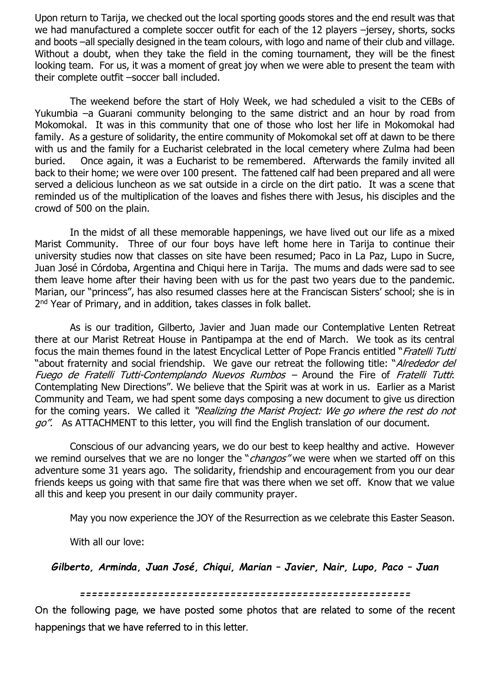Upon return to Tarija, we checked out the local sporting goods stores and the end result was that we had manufactured a complete soccer outfit for each of the 12 players –jersey, shorts, socks and boots –all specially designed in the team colours, with logo and name of their club and village. Without a doubt, when they take the field in the coming tournament, they will be the finest looking team. For us, it was a moment of great joy when we were able to present the team with their complete outfit –soccer ball included.

 The weekend before the start of Holy Week, we had scheduled a visit to the CEBs of Yukumbia –a Guarani community belonging to the same district and an hour by road from Mokomokal. It was in this community that one of those who lost her life in Mokomokal had family. As a gesture of solidarity, the entire community of Mokomokal set off at dawn to be there with us and the family for a Eucharist celebrated in the local cemetery where Zulma had been buried. Once again, it was a Eucharist to be remembered. Afterwards the family invited all back to their home; we were over 100 present. The fattened calf had been prepared and all were served a delicious luncheon as we sat outside in a circle on the dirt patio. It was a scene that reminded us of the multiplication of the loaves and fishes there with Jesus, his disciples and the crowd of 500 on the plain.

 In the midst of all these memorable happenings, we have lived out our life as a mixed Marist Community. Three of our four boys have left home here in Tarija to continue their university studies now that classes on site have been resumed; Paco in La Paz, Lupo in Sucre, Juan José in Córdoba, Argentina and Chiqui here in Tarija. The mums and dads were sad to see them leave home after their having been with us for the past two years due to the pandemic. Marian, our "princess", has also resumed classes here at the Franciscan Sisters' school; she is in 2<sup>nd</sup> Year of Primary, and in addition, takes classes in folk ballet.

 As is our tradition, Gilberto, Javier and Juan made our Contemplative Lenten Retreat there at our Marist Retreat House in Pantipampa at the end of March. We took as its central focus the main themes found in the latest Encyclical Letter of Pope Francis entitled "Fratelli Tutti "about fraternity and social friendship. We gave our retreat the following title: "Alrededor del Fuego de Fratelli Tutti-Contemplando Nuevos Rumbos – Around the Fire of Fratelli Tutti: Contemplating New Directions". We believe that the Spirit was at work in us. Earlier as a Marist Community and Team, we had spent some days composing a new document to give us direction for the coming years. We called it "Realizing the Marist Project: We go where the rest do not go". As ATTACHMENT to this letter, you will find the English translation of our document.

 Conscious of our advancing years, we do our best to keep healthy and active. However we remind ourselves that we are no longer the "*changos*" we were when we started off on this adventure some 31 years ago. The solidarity, friendship and encouragement from you our dear friends keeps us going with that same fire that was there when we set off. Know that we value all this and keep you present in our daily community prayer.

May you now experience the JOY of the Resurrection as we celebrate this Easter Season.

With all our love:

*Gilberto, Arminda, Juan José, Chiqui, Marian – Javier, Nair, Lupo, Paco – Juan*

*=======================================================*

On the following page, we have posted some photos that are related to some of the recent happenings that we have referred to in this letter.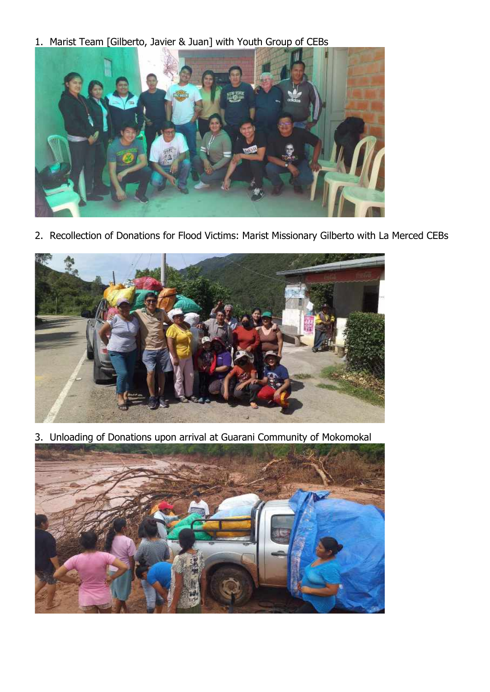1. Marist Team [Gilberto, Javier & Juan] with Youth Group of CEBs



2. Recollection of Donations for Flood Victims: Marist Missionary Gilberto with La Merced CEBs



3. Unloading of Donations upon arrival at Guarani Community of Mokomokal

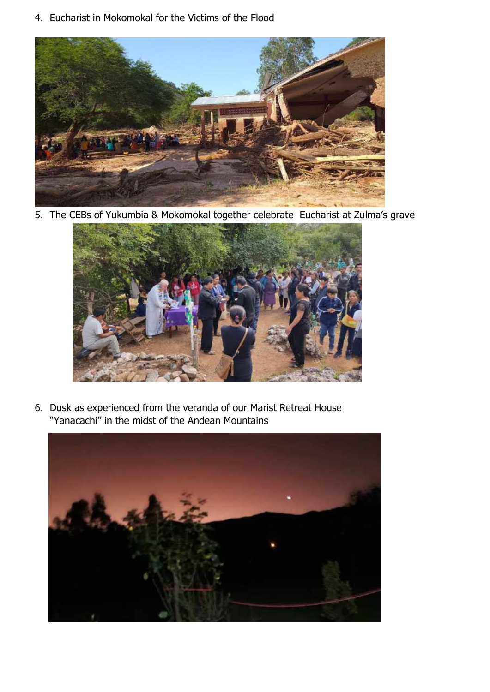4. Eucharist in Mokomokal for the Victims of the Flood



5. The CEBs of Yukumbia & Mokomokal together celebrate Eucharist at Zulma's grave



6. Dusk as experienced from the veranda of our Marist Retreat House "Yanacachi" in the midst of the Andean Mountains